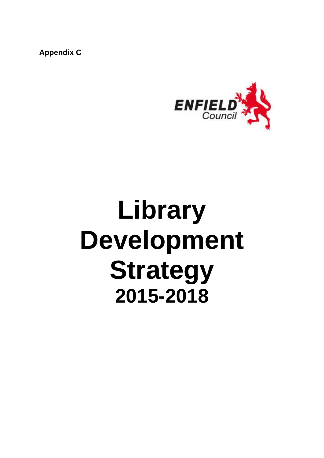**Appendix C**



# **Library Development Strategy 2015-2018**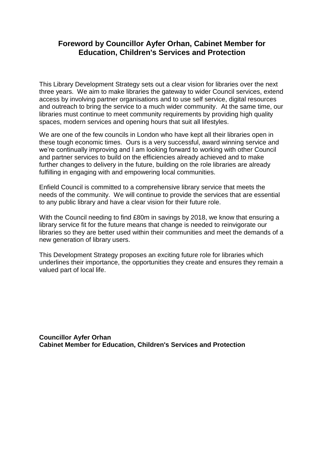# **Foreword by Councillor Ayfer Orhan, Cabinet Member for Education, Children's Services and Protection**

This Library Development Strategy sets out a clear vision for libraries over the next three years. We aim to make libraries the gateway to wider Council services, extend access by involving partner organisations and to use self service, digital resources and outreach to bring the service to a much wider community. At the same time, our libraries must continue to meet community requirements by providing high quality spaces, modern services and opening hours that suit all lifestyles.

We are one of the few councils in London who have kept all their libraries open in these tough economic times. Ours is a very successful, award winning service and we're continually improving and I am looking forward to working with other Council and partner services to build on the efficiencies already achieved and to make further changes to delivery in the future, building on the role libraries are already fulfilling in engaging with and empowering local communities.

Enfield Council is committed to a comprehensive library service that meets the needs of the community. We will continue to provide the services that are essential to any public library and have a clear vision for their future role.

With the Council needing to find £80m in savings by 2018, we know that ensuring a library service fit for the future means that change is needed to reinvigorate our libraries so they are better used within their communities and meet the demands of a new generation of library users.

This Development Strategy proposes an exciting future role for libraries which underlines their importance, the opportunities they create and ensures they remain a valued part of local life.

**Councillor Ayfer Orhan Cabinet Member for Education, Children's Services and Protection**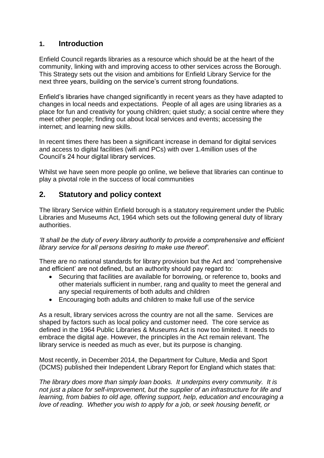# **1. Introduction**

Enfield Council regards libraries as a resource which should be at the heart of the community, linking with and improving access to other services across the Borough. This Strategy sets out the vision and ambitions for Enfield Library Service for the next three years, building on the service's current strong foundations.

Enfield's libraries have changed significantly in recent years as they have adapted to changes in local needs and expectations. People of all ages are using libraries as a place for fun and creativity for young children; quiet study; a social centre where they meet other people; finding out about local services and events; accessing the internet; and learning new skills.

In recent times there has been a significant increase in demand for digital services and access to digital facilities (wifi and PCs) with over 1.4million uses of the Council's 24 hour digital library services.

Whilst we have seen more people go online, we believe that libraries can continue to play a pivotal role in the success of local communities

# **2. Statutory and policy context**

The library Service within Enfield borough is a statutory requirement under the Public Libraries and Museums Act, 1964 which sets out the following general duty of library authorities.

*'It shall be the duty of every library authority to provide a comprehensive and efficient library service for all persons desiring to make use thereof'.*

There are no national standards for library provision but the Act and 'comprehensive and efficient' are not defined, but an authority should pay regard to:

- Securing that facilities are available for borrowing, or reference to, books and other materials sufficient in number, rang and quality to meet the general and any special requirements of both adults and children
- Encouraging both adults and children to make full use of the service

As a result, library services across the country are not all the same. Services are shaped by factors such as local policy and customer need. The core service as defined in the 1964 Public Libraries & Museums Act is now too limited. It needs to embrace the digital age. However, the principles in the Act remain relevant. The library service is needed as much as ever, but its purpose is changing.

Most recently, in December 2014, the Department for Culture, Media and Sport (DCMS) published their Independent Library Report for England which states that:

*The library does more than simply loan books. It underpins every community. It is not just a place for self-improvement, but the supplier of an infrastructure for life and learning, from babies to old age, offering support, help, education and encouraging a love of reading. Whether you wish to apply for a job, or seek housing benefit, or*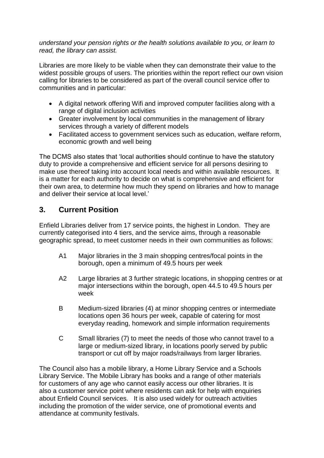*understand your pension rights or the health solutions available to you, or learn to read, the library can assist.*

Libraries are more likely to be viable when they can demonstrate their value to the widest possible groups of users. The priorities within the report reflect our own vision calling for libraries to be considered as part of the overall council service offer to communities and in particular:

- A digital network offering Wifi and improved computer facilities along with a range of digital inclusion activities
- Greater involvement by local communities in the management of library services through a variety of different models
- Facilitated access to government services such as education, welfare reform, economic growth and well being

The DCMS also states that 'local authorities should continue to have the statutory duty to provide a comprehensive and efficient service for all persons desiring to make use thereof taking into account local needs and within available resources. It is a matter for each authority to decide on what is comprehensive and efficient for their own area, to determine how much they spend on libraries and how to manage and deliver their service at local level.'

# **3. Current Position**

Enfield Libraries deliver from 17 service points, the highest in London. They are currently categorised into 4 tiers, and the service aims, through a reasonable geographic spread, to meet customer needs in their own communities as follows:

- A1 Major libraries in the 3 main shopping centres/focal points in the borough, open a minimum of 49.5 hours per week
- A2 Large libraries at 3 further strategic locations, in shopping centres or at major intersections within the borough, open 44.5 to 49.5 hours per week
- B Medium-sized libraries (4) at minor shopping centres or intermediate locations open 36 hours per week, capable of catering for most everyday reading, homework and simple information requirements
- C Small libraries (7) to meet the needs of those who cannot travel to a large or medium-sized library, in locations poorly served by public transport or cut off by major roads/railways from larger libraries.

The Council also has a mobile library, a Home Library Service and a Schools Library Service. The Mobile Library has books and a range of other materials for customers of any age who cannot easily access our other libraries. It is also a customer service point where residents can ask for help with enquiries about Enfield Council services. It is also used widely for outreach activities including the promotion of the wider service, one of promotional events and attendance at community festivals.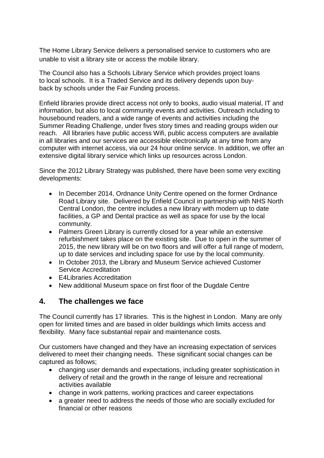The Home Library Service delivers a personalised service to customers who are unable to visit a library site or access the mobile library.

The Council also has a Schools Library Service which provides project loans to local schools. It is a Traded Service and its delivery depends upon buyback by schools under the Fair Funding process.

Enfield libraries provide direct access not only to books, audio visual material, IT and information, but also to local community events and activities. Outreach including to housebound readers, and a wide range of events and activities including the Summer Reading Challenge, under fives story times and reading groups widen our reach. All libraries have public access Wifi, public access computers are available in all libraries and our services are accessible electronically at any time from any computer with internet access, via our 24 hour online service. In addition, we offer an extensive digital library service which links up resources across London.

Since the 2012 Library Strategy was published, there have been some very exciting developments:

- In December 2014, Ordnance Unity Centre opened on the former Ordnance Road Library site. Delivered by Enfield Council in partnership with NHS North Central London, the centre includes a new library with modern up to date facilities, a GP and Dental practice as well as space for use by the local community.
- Palmers Green Library is currently closed for a year while an extensive refurbishment takes place on the existing site. Due to open in the summer of 2015, the new library will be on two floors and will offer a full range of modern, up to date services and including space for use by the local community.
- In October 2013, the Library and Museum Service achieved Customer Service Accreditation
- E4Libraries Accreditation
- New additional Museum space on first floor of the Dugdale Centre

# **4. The challenges we face**

The Council currently has 17 libraries. This is the highest in London. Many are only open for limited times and are based in older buildings which limits access and flexibility. Many face substantial repair and maintenance costs.

Our customers have changed and they have an increasing expectation of services delivered to meet their changing needs. These significant social changes can be captured as follows;

- changing user demands and expectations, including greater sophistication in delivery of retail and the growth in the range of leisure and recreational activities available
- change in work patterns, working practices and career expectations
- a greater need to address the needs of those who are socially excluded for financial or other reasons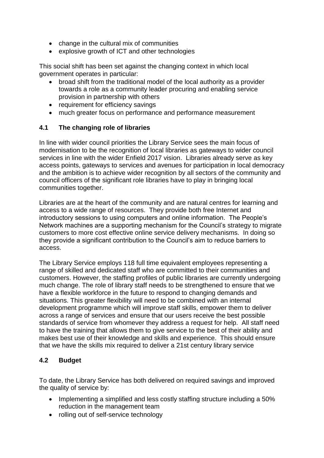- change in the cultural mix of communities
- explosive growth of ICT and other technologies

This social shift has been set against the changing context in which local government operates in particular:

- broad shift from the traditional model of the local authority as a provider towards a role as a community leader procuring and enabling service provision in partnership with others
- requirement for efficiency savings
- much greater focus on performance and performance measurement

#### **4.1 The changing role of libraries**

In line with wider council priorities the Library Service sees the main focus of modernisation to be the recognition of local libraries as gateways to wider council services in line with the wider Enfield 2017 vision. Libraries already serve as key access points, gateways to services and avenues for participation in local democracy and the ambition is to achieve wider recognition by all sectors of the community and council officers of the significant role libraries have to play in bringing local communities together.

Libraries are at the heart of the community and are natural centres for learning and access to a wide range of resources. They provide both free Internet and introductory sessions to using computers and online information. The People's Network machines are a supporting mechanism for the Council's strategy to migrate customers to more cost effective online service delivery mechanisms. In doing so they provide a significant contribution to the Council's aim to reduce barriers to access.

The Library Service employs 118 full time equivalent employees representing a range of skilled and dedicated staff who are committed to their communities and customers. However, the staffing profiles of public libraries are currently undergoing much change. The role of library staff needs to be strengthened to ensure that we have a flexible workforce in the future to respond to changing demands and situations. This greater flexibility will need to be combined with an internal development programme which will improve staff skills, empower them to deliver across a range of services and ensure that our users receive the best possible standards of service from whomever they address a request for help. All staff need to have the training that allows them to give service to the best of their ability and makes best use of their knowledge and skills and experience. This should ensure that we have the skills mix required to deliver a 21st century library service

#### **4.2 Budget**

To date, the Library Service has both delivered on required savings and improved the quality of service by:

- Implementing a simplified and less costly staffing structure including a 50% reduction in the management team
- rolling out of self-service technology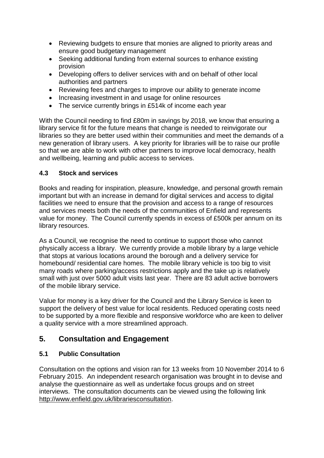- Reviewing budgets to ensure that monies are aligned to priority areas and ensure good budgetary management
- Seeking additional funding from external sources to enhance existing provision
- Developing offers to deliver services with and on behalf of other local authorities and partners
- Reviewing fees and charges to improve our ability to generate income
- Increasing investment in and usage for online resources
- The service currently brings in £514k of income each year

With the Council needing to find £80m in savings by 2018, we know that ensuring a library service fit for the future means that change is needed to reinvigorate our libraries so they are better used within their communities and meet the demands of a new generation of library users. A key priority for libraries will be to raise our profile so that we are able to work with other partners to improve local democracy, health and wellbeing, learning and public access to services.

## **4.3 Stock and services**

Books and reading for inspiration, pleasure, knowledge, and personal growth remain important but with an increase in demand for digital services and access to digital facilities we need to ensure that the provision and access to a range of resources and services meets both the needs of the communities of Enfield and represents value for money. The Council currently spends in excess of £500k per annum on its library resources.

As a Council, we recognise the need to continue to support those who cannot physically access a library. We currently provide a mobile library by a large vehicle that stops at various locations around the borough and a delivery service for homebound/ residential care homes. The mobile library vehicle is too big to visit many roads where parking/access restrictions apply and the take up is relatively small with just over 5000 adult visits last year. There are 83 adult active borrowers of the mobile library service.

Value for money is a key driver for the Council and the Library Service is keen to support the delivery of best value for local residents. Reduced operating costs need to be supported by a more flexible and responsive workforce who are keen to deliver a quality service with a more streamlined approach.

# **5. Consultation and Engagement**

# **5.1 Public Consultation**

Consultation on the options and vision ran for 13 weeks from 10 November 2014 to 6 February 2015. An independent research organisation was brought in to devise and analyse the questionnaire as well as undertake focus groups and on street interviews. The consultation documents can be viewed using the following link [http://www.enfield.gov.uk/librariesconsultation.](http://www.enfield.gov.uk/librariesconsultation)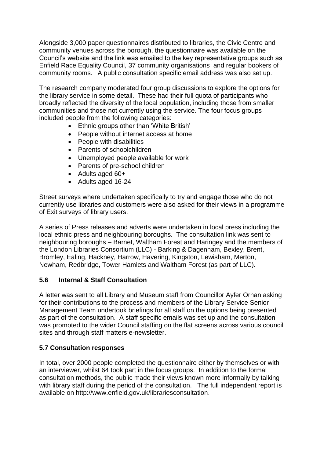Alongside 3,000 paper questionnaires distributed to libraries, the Civic Centre and community venues across the borough, the questionnaire was available on the Council's website and the link was emailed to the key representative groups such as Enfield Race Equality Council, 37 community organisations and regular bookers of community rooms. A public consultation specific email address was also set up.

The research company moderated four group discussions to explore the options for the library service in some detail. These had their full quota of participants who broadly reflected the diversity of the local population, including those from smaller communities and those not currently using the service. The four focus groups included people from the following categories:

- Ethnic groups other than 'White British'
- People without internet access at home
- People with disabilities
- Parents of schoolchildren
- Unemployed people available for work
- Parents of pre-school children
- Adults aged 60+
- Adults aged 16-24

Street surveys where undertaken specifically to try and engage those who do not currently use libraries and customers were also asked for their views in a programme of Exit surveys of library users.

A series of Press releases and adverts were undertaken in local press including the local ethnic press and neighbouring boroughs. The consultation link was sent to neighbouring boroughs – Barnet, Waltham Forest and Haringey and the members of the London Libraries Consortium (LLC) - Barking & Dagenham, Bexley, Brent, Bromley, Ealing, Hackney, Harrow, Havering, Kingston, Lewisham, Merton, Newham, Redbridge, Tower Hamlets and Waltham Forest (as part of LLC).

# **5.6 Internal & Staff Consultation**

A letter was sent to all Library and Museum staff from Councillor Ayfer Orhan asking for their contributions to the process and members of the Library Service Senior Management Team undertook briefings for all staff on the options being presented as part of the consultation. A staff specific emails was set up and the consultation was promoted to the wider Council staffing on the flat screens across various council sites and through staff matters e-newsletter.

# **5.7 Consultation responses**

In total, over 2000 people completed the questionnaire either by themselves or with an interviewer, whilst 64 took part in the focus groups. In addition to the formal consultation methods, the public made their views known more informally by talking with library staff during the period of the consultation. The full independent report is available on [http://www.enfield.gov.uk/librariesconsultation.](http://www.enfield.gov.uk/librariesconsultation)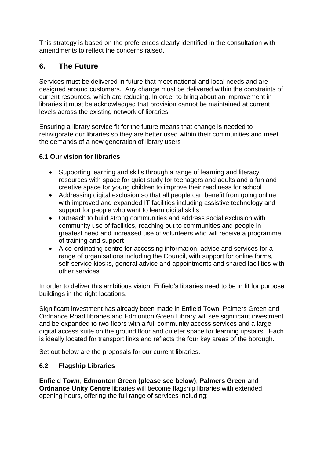This strategy is based on the preferences clearly identified in the consultation with amendments to reflect the concerns raised.

#### . **6. The Future**

Services must be delivered in future that meet national and local needs and are designed around customers. Any change must be delivered within the constraints of current resources, which are reducing. In order to bring about an improvement in libraries it must be acknowledged that provision cannot be maintained at current levels across the existing network of libraries.

Ensuring a library service fit for the future means that change is needed to reinvigorate our libraries so they are better used within their communities and meet the demands of a new generation of library users

## **6.1 Our vision for libraries**

- Supporting learning and skills through a range of learning and literacy resources with space for quiet study for teenagers and adults and a fun and creative space for young children to improve their readiness for school
- Addressing digital exclusion so that all people can benefit from going online with improved and expanded IT facilities including assistive technology and support for people who want to learn digital skills
- Outreach to build strong communities and address social exclusion with community use of facilities, reaching out to communities and people in greatest need and increased use of volunteers who will receive a programme of training and support
- A co-ordinating centre for accessing information, advice and services for a range of organisations including the Council, with support for online forms, self-service kiosks, general advice and appointments and shared facilities with other services

In order to deliver this ambitious vision, Enfield's libraries need to be in fit for purpose buildings in the right locations.

Significant investment has already been made in Enfield Town, Palmers Green and Ordnance Road libraries and Edmonton Green Library will see significant investment and be expanded to two floors with a full community access services and a large digital access suite on the ground floor and quieter space for learning upstairs. Each is ideally located for transport links and reflects the four key areas of the borough.

Set out below are the proposals for our current libraries.

#### **6.2 Flagship Libraries**

**Enfield Town**, **Edmonton Green (please see below)**, **Palmers Green** and **Ordnance Unity Centre** libraries will become flagship libraries with extended opening hours, offering the full range of services including: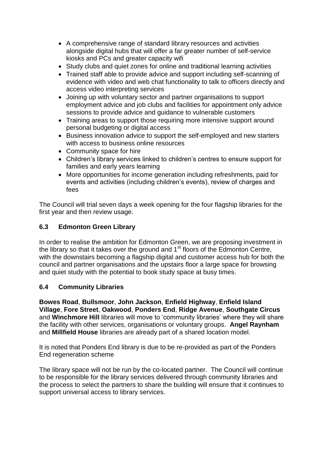- A comprehensive range of standard library resources and activities alongside digital hubs that will offer a far greater number of self-service kiosks and PCs and greater capacity wifi
- Study clubs and quiet zones for online and traditional learning activities
- Trained staff able to provide advice and support including self-scanning of evidence with video and web chat functionality to talk to officers directly and access video interpreting services
- Joining up with voluntary sector and partner organisations to support employment advice and job clubs and facilities for appointment only advice sessions to provide advice and guidance to vulnerable customers
- Training areas to support those requiring more intensive support around personal budgeting or digital access
- Business innovation advice to support the self-employed and new starters with access to business online resources
- Community space for hire
- Children's library services linked to children's centres to ensure support for families and early years learning
- More opportunities for income generation including refreshments, paid for events and activities (including children's events), review of charges and fees

The Council will trial seven days a week opening for the four flagship libraries for the first year and then review usage.

#### **6.3 Edmonton Green Library**

In order to realise the ambition for Edmonton Green, we are proposing investment in the library so that it takes over the ground and  $1<sup>st</sup>$  floors of the Edmonton Centre, with the downstairs becoming a flagship digital and customer access hub for both the council and partner organisations and the upstairs floor a large space for browsing and quiet study with the potential to book study space at busy times.

#### **6.4 Community Libraries**

**Bowes Road**, **Bullsmoor**, **John Jackson**, **Enfield Highway**, **Enfield Island Village**, **Fore Street**, **Oakwood**, **Ponders End**, **Ridge Avenue**, **Southgate Circus** and **Winchmore Hill** libraries will move to 'community libraries' where they will share the facility with other services, organisations or voluntary groups. **Angel Raynham** and **Millfield House** libraries are already part of a shared location model.

It is noted that Ponders End library is due to be re-provided as part of the Ponders End regeneration scheme

The library space will not be run by the co-located partner. The Council will continue to be responsible for the library services delivered through community libraries and the process to select the partners to share the building will ensure that it continues to support universal access to library services.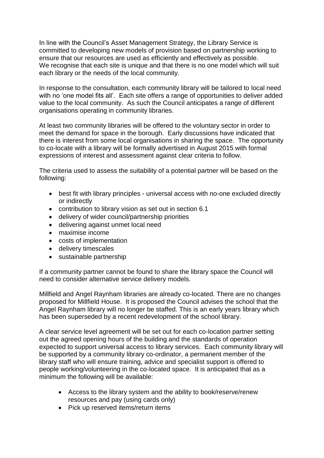In line with the Council's Asset Management Strategy, the Library Service is committed to developing new models of provision based on partnership working to ensure that our resources are used as efficiently and effectively as possible. We recognise that each site is unique and that there is no one model which will suit each library or the needs of the local community.

In response to the consultation, each community library will be tailored to local need with no 'one model fits all'. Each site offers a range of opportunities to deliver added value to the local community. As such the Council anticipates a range of different organisations operating in community libraries.

At least two community libraries will be offered to the voluntary sector in order to meet the demand for space in the borough. Early discussions have indicated that there is interest from some local organisations in sharing the space. The opportunity to co-locate with a library will be formally advertised in August 2015 with formal expressions of interest and assessment against clear criteria to follow.

The criteria used to assess the suitability of a potential partner will be based on the following:

- best fit with library principles universal access with no-one excluded directly or indirectly
- contribution to library vision as set out in section 6.1
- delivery of wider council/partnership priorities
- delivering against unmet local need
- maximise income
- costs of implementation
- delivery timescales
- sustainable partnership

If a community partner cannot be found to share the library space the Council will need to consider alternative service delivery models.

Millfield and Angel Raynham libraries are already co-located. There are no changes proposed for Millfield House. It is proposed the Council advises the school that the Angel Raynham library will no longer be staffed. This is an early years library which has been superseded by a recent redevelopment of the school library.

A clear service level agreement will be set out for each co-location partner setting out the agreed opening hours of the building and the standards of operation expected to support universal access to library services. Each community library will be supported by a community library co-ordinator, a permanent member of the library staff who will ensure training, advice and specialist support is offered to people working/volunteering in the co-located space. It is anticipated that as a minimum the following will be available:

- Access to the library system and the ability to book/reserve/renew resources and pay (using cards only)
- Pick up reserved items/return items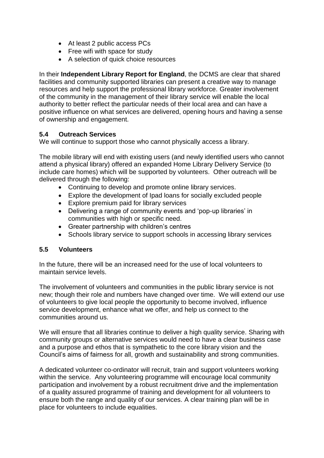- At least 2 public access PCs
- Free wifi with space for study
- A selection of quick choice resources

In their **Independent Library Report for England**, the DCMS are clear that shared facilities and community supported libraries can present a creative way to manage resources and help support the professional library workforce. Greater involvement of the community in the management of their library service will enable the local authority to better reflect the particular needs of their local area and can have a positive influence on what services are delivered, opening hours and having a sense of ownership and engagement.

#### **5.4 Outreach Services**

We will continue to support those who cannot physically access a library.

The mobile library will end with existing users (and newly identified users who cannot attend a physical library) offered an expanded Home Library Delivery Service (to include care homes) which will be supported by volunteers. Other outreach will be delivered through the following:

- Continuing to develop and promote online library services.
- Explore the development of Ipad loans for socially excluded people
- Explore premium paid for library services
- Delivering a range of community events and 'pop-up libraries' in communities with high or specific need.
- Greater partnership with children's centres
- Schools library service to support schools in accessing library services

#### **5.5 Volunteers**

In the future, there will be an increased need for the use of local volunteers to maintain service levels.

The involvement of volunteers and communities in the public library service is not new; though their role and numbers have changed over time. We will extend our use of volunteers to give local people the opportunity to become involved, influence service development, enhance what we offer, and help us connect to the communities around us.

We will ensure that all libraries continue to deliver a high quality service. Sharing with community groups or alternative services would need to have a clear business case and a purpose and ethos that is sympathetic to the core library vision and the Council's aims of fairness for all, growth and sustainability and strong communities.

A dedicated volunteer co-ordinator will recruit, train and support volunteers working within the service. Any volunteering programme will encourage local community participation and involvement by a robust recruitment drive and the implementation of a quality assured programme of training and development for all volunteers to ensure both the range and quality of our services. A clear training plan will be in place for volunteers to include equalities.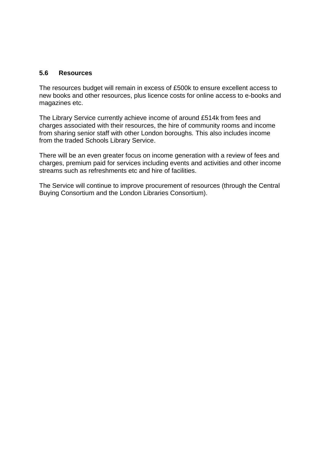#### **5.6 Resources**

The resources budget will remain in excess of £500k to ensure excellent access to new books and other resources, plus licence costs for online access to e-books and magazines etc.

The Library Service currently achieve income of around £514k from fees and charges associated with their resources, the hire of community rooms and income from sharing senior staff with other London boroughs. This also includes income from the traded Schools Library Service.

There will be an even greater focus on income generation with a review of fees and charges, premium paid for services including events and activities and other income streams such as refreshments etc and hire of facilities.

The Service will continue to improve procurement of resources (through the Central Buying Consortium and the London Libraries Consortium).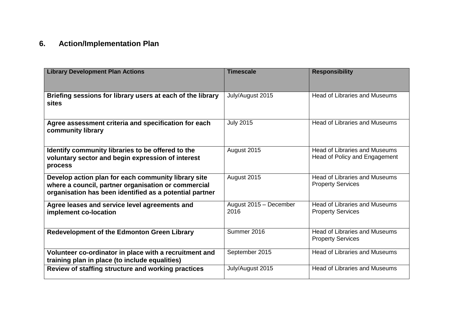# **6. Action/Implementation Plan**

| <b>Library Development Plan Actions</b>                                                                                                                               | <b>Timescale</b>               | <b>Responsibility</b>                                                 |
|-----------------------------------------------------------------------------------------------------------------------------------------------------------------------|--------------------------------|-----------------------------------------------------------------------|
|                                                                                                                                                                       |                                |                                                                       |
| Briefing sessions for library users at each of the library<br><b>sites</b>                                                                                            | July/August 2015               | <b>Head of Libraries and Museums</b>                                  |
| Agree assessment criteria and specification for each<br>community library                                                                                             | <b>July 2015</b>               | <b>Head of Libraries and Museums</b>                                  |
| Identify community libraries to be offered to the<br>voluntary sector and begin expression of interest<br>process                                                     | August 2015                    | <b>Head of Libraries and Museums</b><br>Head of Policy and Engagement |
| Develop action plan for each community library site<br>where a council, partner organisation or commercial<br>organisation has been identified as a potential partner | August 2015                    | <b>Head of Libraries and Museums</b><br><b>Property Services</b>      |
| Agree leases and service level agreements and<br>implement co-location                                                                                                | August 2015 - December<br>2016 | <b>Head of Libraries and Museums</b><br><b>Property Services</b>      |
| Redevelopment of the Edmonton Green Library                                                                                                                           | Summer 2016                    | <b>Head of Libraries and Museums</b><br><b>Property Services</b>      |
| Volunteer co-ordinator in place with a recruitment and<br>training plan in place (to include equalities)                                                              | September 2015                 | <b>Head of Libraries and Museums</b>                                  |
| Review of staffing structure and working practices                                                                                                                    | July/August 2015               | <b>Head of Libraries and Museums</b>                                  |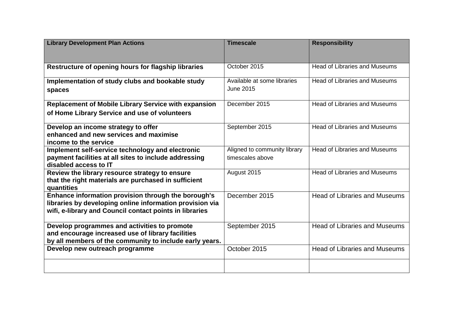| <b>Library Development Plan Actions</b>                                                                                                                                    | <b>Timescale</b>                                 | <b>Responsibility</b>                |
|----------------------------------------------------------------------------------------------------------------------------------------------------------------------------|--------------------------------------------------|--------------------------------------|
| Restructure of opening hours for flagship libraries                                                                                                                        | October 2015                                     | <b>Head of Libraries and Museums</b> |
| Implementation of study clubs and bookable study<br>spaces                                                                                                                 | Available at some libraries<br><b>June 2015</b>  | <b>Head of Libraries and Museums</b> |
| <b>Replacement of Mobile Library Service with expansion</b>                                                                                                                | December 2015                                    | <b>Head of Libraries and Museums</b> |
| of Home Library Service and use of volunteers                                                                                                                              |                                                  |                                      |
| Develop an income strategy to offer<br>enhanced and new services and maximise<br>income to the service                                                                     | September 2015                                   | <b>Head of Libraries and Museums</b> |
| Implement self-service technology and electronic<br>payment facilities at all sites to include addressing                                                                  | Aligned to community library<br>timescales above | <b>Head of Libraries and Museums</b> |
| disabled access to IT                                                                                                                                                      |                                                  |                                      |
| Review the library resource strategy to ensure<br>that the right materials are purchased in sufficient<br>quantities                                                       | August 2015                                      | <b>Head of Libraries and Museums</b> |
| Enhance information provision through the borough's<br>libraries by developing online information provision via<br>wifi, e-library and Council contact points in libraries | December 2015                                    | <b>Head of Libraries and Museums</b> |
| Develop programmes and activities to promote<br>and encourage increased use of library facilities<br>by all members of the community to include early years.               | September 2015                                   | <b>Head of Libraries and Museums</b> |
| Develop new outreach programme                                                                                                                                             | October 2015                                     | <b>Head of Libraries and Museums</b> |
|                                                                                                                                                                            |                                                  |                                      |